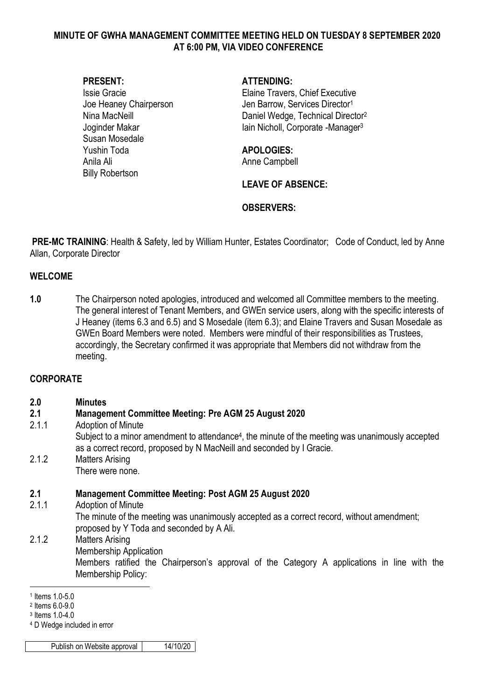### **MINUTE OF GWHA MANAGEMENT COMMITTEE MEETING HELD ON TUESDAY 8 SEPTEMBER 2020 AT 6:00 PM, VIA VIDEO CONFERENCE**

Susan Mosedale Yushin Toda **APOLOGIES:** Anila Ali **Anila Anima Anila Anima Anima Anima Anima Anima Anima Anima Anima Anima Anima Anima Anima Anima Anim** Billy Robertson

#### **PRESENT: ATTENDING:**

Issie Gracie Elaine Travers, Chief Executive Joe Heaney Chairperson Jen Barrow, Services Director<sup>1</sup> Nina MacNeill **Nina MacNet All Accord Participal Daniel Wedge, Technical Director**<sup>2</sup> Joginder Makar **Iain Nicholl**, Corporate -Manager<sup>3</sup>

## **LEAVE OF ABSENCE:**

## **OBSERVERS:**

**PRE-MC TRAINING**: Health & Safety, led by William Hunter, Estates Coordinator; Code of Conduct, led by Anne Allan, Corporate Director

#### **WELCOME**

**1.0** The Chairperson noted apologies, introduced and welcomed all Committee members to the meeting. The general interest of Tenant Members, and GWEn service users, along with the specific interests of J Heaney (items 6.3 and 6.5) and S Mosedale (item 6.3); and Elaine Travers and Susan Mosedale as GWEn Board Members were noted. Members were mindful of their responsibilities as Trustees, accordingly, the Secretary confirmed it was appropriate that Members did not withdraw from the meeting.

### **CORPORATE**

| 2.0<br>2.1 | <b>Minutes</b><br><b>Management Committee Meeting: Pre AGM 25 August 2020</b>                                                                                                         |
|------------|---------------------------------------------------------------------------------------------------------------------------------------------------------------------------------------|
|            |                                                                                                                                                                                       |
|            | Subject to a minor amendment to attendance <sup>4</sup> , the minute of the meeting was unanimously accepted<br>as a correct record, proposed by N MacNeill and seconded by I Gracie. |
| 2.1.2      | <b>Matters Arising</b>                                                                                                                                                                |
|            | There were none.                                                                                                                                                                      |
| 2.1        | <b>Management Committee Meeting: Post AGM 25 August 2020</b>                                                                                                                          |
| 2.1.1      | <b>Adoption of Minute</b>                                                                                                                                                             |
|            | The minute of the meeting was unanimously accepted as a correct record, without amendment;<br>proposed by Y Toda and seconded by A Ali.                                               |
| 2.1.2      | <b>Matters Arising</b>                                                                                                                                                                |

Membership Application Members ratified the Chairperson's approval of the Category A applications in line with the Membership Policy: 1

Publish on Website approval | 14/10/20

<sup>1</sup> Items 1.0-5.0

<sup>2</sup> Items 6.0-9.0

<sup>3</sup> Items 1.0-4.0

<sup>4</sup> D Wedge included in error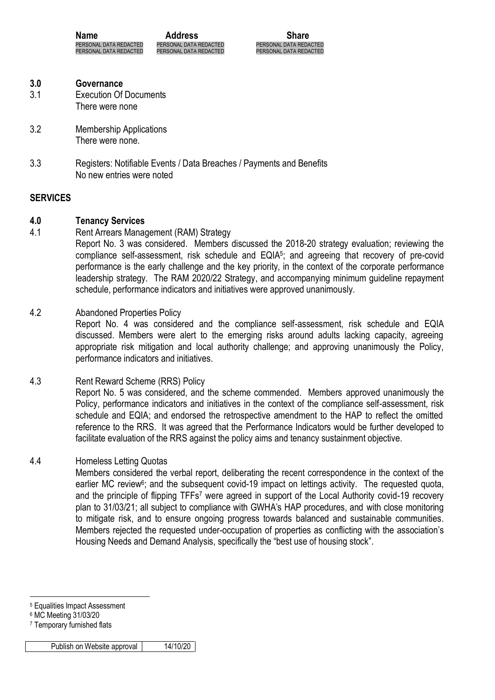**Name Address Share** PERSONAL DATA REDACTED PERSONAL DATA REDACTED PERSONAL DATA REDACTED

PERSONAL DATA REDACTED PERSONAL DATA REDACTED PERSONAL DATA REDACTED

- **3.0 Governance**
- 3.1 Execution Of Documents There were none
- 3.2 Membership Applications There were none.
- 3.3 Registers: Notifiable Events / Data Breaches / Payments and Benefits No new entries were noted

## **SERVICES**

## **4.0 Tenancy Services**

4.1 Rent Arrears Management (RAM) Strategy

Report No. 3 was considered. Members discussed the 2018-20 strategy evaluation; reviewing the compliance self-assessment, risk schedule and EQIA<sup>5</sup>; and agreeing that recovery of pre-covid performance is the early challenge and the key priority, in the context of the corporate performance leadership strategy. The RAM 2020/22 Strategy, and accompanying minimum guideline repayment schedule, performance indicators and initiatives were approved unanimously.

## 4.2 Abandoned Properties Policy

Report No. 4 was considered and the compliance self-assessment, risk schedule and EQIA discussed. Members were alert to the emerging risks around adults lacking capacity, agreeing appropriate risk mitigation and local authority challenge; and approving unanimously the Policy, performance indicators and initiatives.

4.3 Rent Reward Scheme (RRS) Policy Report No. 5 was considered, and the scheme commended. Members approved unanimously the Policy, performance indicators and initiatives in the context of the compliance self-assessment, risk schedule and EQIA; and endorsed the retrospective amendment to the HAP to reflect the omitted reference to the RRS. It was agreed that the Performance Indicators would be further developed to facilitate evaluation of the RRS against the policy aims and tenancy sustainment objective.

## 4.4 Homeless Letting Quotas

Members considered the verbal report, deliberating the recent correspondence in the context of the earlier MC review<sup>6</sup>; and the subsequent covid-19 impact on lettings activity. The requested quota, and the principle of flipping TFFs<sup>7</sup> were agreed in support of the Local Authority covid-19 recovery plan to 31/03/21; all subject to compliance with GWHA's HAP procedures, and with close monitoring to mitigate risk, and to ensure ongoing progress towards balanced and sustainable communities. Members rejected the requested under-occupation of properties as conflicting with the association's Housing Needs and Demand Analysis, specifically the "best use of housing stock".

1

<sup>5</sup> Equalities Impact Assessment

<sup>6</sup> MC Meeting 31/03/20

<sup>7</sup> Temporary furnished flats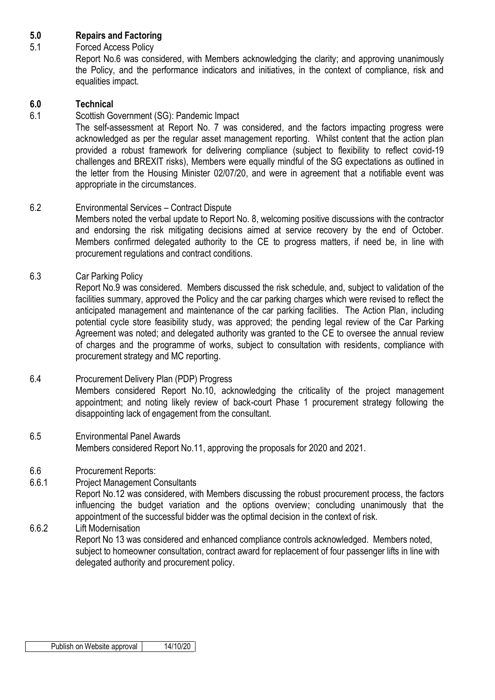## **5.0 Repairs and Factoring**

## 5.1 Forced Access Policy

Report No.6 was considered, with Members acknowledging the clarity; and approving unanimously the Policy, and the performance indicators and initiatives, in the context of compliance, risk and equalities impact.

## **6.0 Technical**

## 6.1 Scottish Government (SG): Pandemic Impact

The self-assessment at Report No. 7 was considered, and the factors impacting progress were acknowledged as per the regular asset management reporting. Whilst content that the action plan provided a robust framework for delivering compliance (subject to flexibility to reflect covid-19 challenges and BREXIT risks), Members were equally mindful of the SG expectations as outlined in the letter from the Housing Minister 02/07/20, and were in agreement that a notifiable event was appropriate in the circumstances.

## 6.2 Environmental Services – Contract Dispute

Members noted the verbal update to Report No. 8, welcoming positive discussions with the contractor and endorsing the risk mitigating decisions aimed at service recovery by the end of October. Members confirmed delegated authority to the CE to progress matters, if need be, in line with procurement regulations and contract conditions.

6.3 Car Parking Policy

Report No.9 was considered. Members discussed the risk schedule, and, subject to validation of the facilities summary, approved the Policy and the car parking charges which were revised to reflect the anticipated management and maintenance of the car parking facilities. The Action Plan, including potential cycle store feasibility study, was approved; the pending legal review of the Car Parking Agreement was noted; and delegated authority was granted to the CE to oversee the annual review of charges and the programme of works, subject to consultation with residents, compliance with procurement strategy and MC reporting.

## 6.4 Procurement Delivery Plan (PDP) Progress

Members considered Report No.10, acknowledging the criticality of the project management appointment; and noting likely review of back-court Phase 1 procurement strategy following the disappointing lack of engagement from the consultant.

6.5 Environmental Panel Awards Members considered Report No.11, approving the proposals for 2020 and 2021.

## 6.6 Procurement Reports:

6.6.1 Project Management Consultants Report No.12 was considered, with Members discussing the robust procurement process, the factors influencing the budget variation and the options overview; concluding unanimously that the appointment of the successful bidder was the optimal decision in the context of risk. 6.6.2 Lift Modernisation

Report No 13 was considered and enhanced compliance controls acknowledged. Members noted, subject to homeowner consultation, contract award for replacement of four passenger lifts in line with delegated authority and procurement policy.